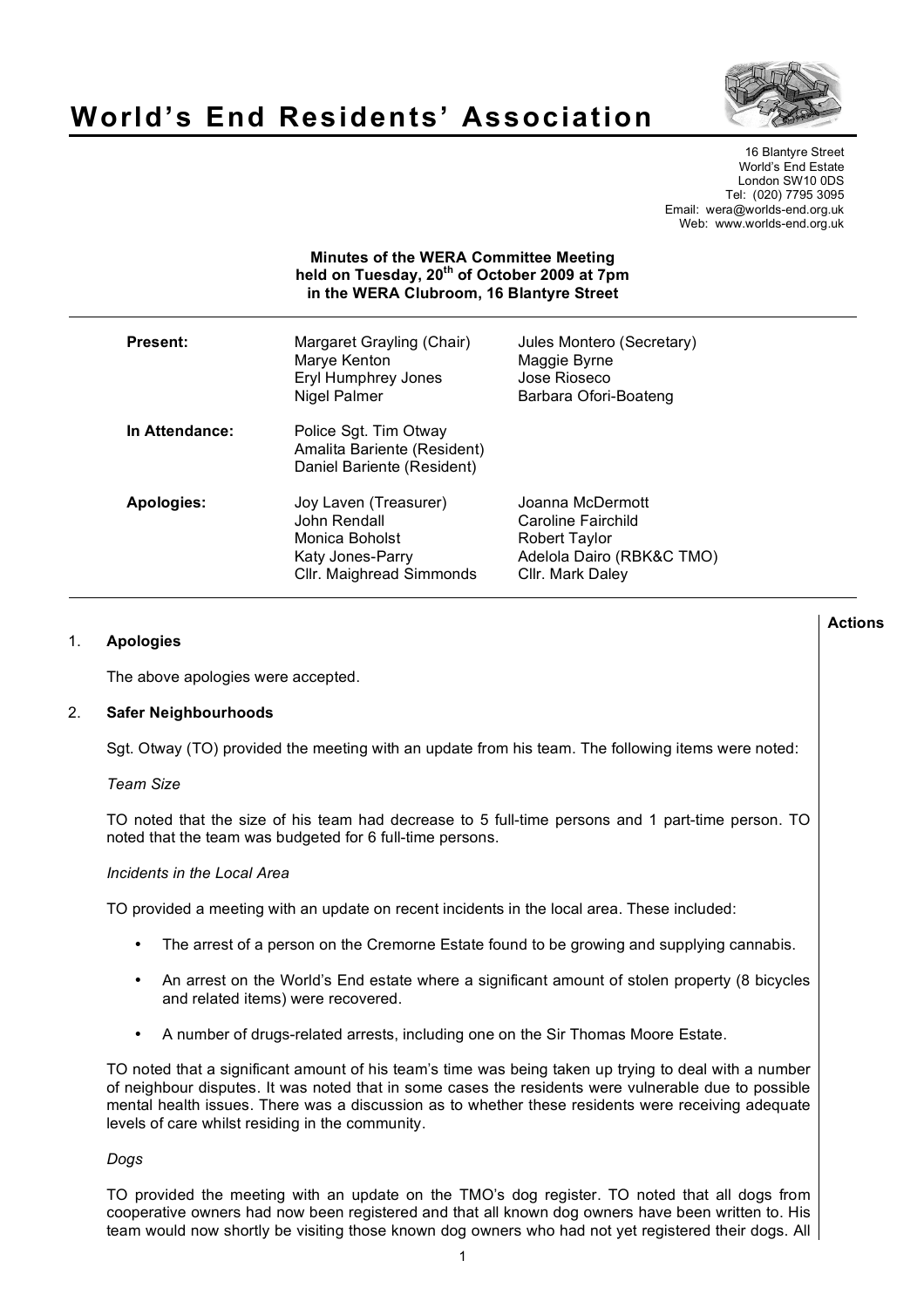

# **World's End Residents' Association**

16 Blantyre Street World's End Estate London SW10 0DS Tel: (020) 7795 3095 Email: wera@worlds-end.org.uk Web: www.worlds-end.org.uk

## **Minutes of the WERA Committee Meeting held on Tuesday, 20th of October 2009 at 7pm in the WERA Clubroom, 16 Blantyre Street**

| <b>Present:</b> |                | Margaret Grayling (Chair)<br>Marye Kenton<br>Eryl Humphrey Jones<br>Nigel Palmer                        | Jules Montero (Secretary)<br>Maggie Byrne<br>Jose Rioseco<br>Barbara Ofori-Boateng                       |
|-----------------|----------------|---------------------------------------------------------------------------------------------------------|----------------------------------------------------------------------------------------------------------|
|                 | In Attendance: | Police Sgt. Tim Otway<br>Amalita Bariente (Resident)<br>Daniel Bariente (Resident)                      |                                                                                                          |
|                 | Apologies:     | Joy Laven (Treasurer)<br>John Rendall<br>Monica Boholst<br>Katy Jones-Parry<br>Cllr. Maighread Simmonds | Joanna McDermott<br>Caroline Fairchild<br>Robert Taylor<br>Adelola Dairo (RBK&C TMO)<br>Cllr. Mark Daley |

## 1. **Apologies**

The above apologies were accepted.

## 2. **Safer Neighbourhoods**

Sgt. Otway (TO) provided the meeting with an update from his team. The following items were noted:

#### *Team Size*

TO noted that the size of his team had decrease to 5 full-time persons and 1 part-time person. TO noted that the team was budgeted for 6 full-time persons.

#### *Incidents in the Local Area*

TO provided a meeting with an update on recent incidents in the local area. These included:

- The arrest of a person on the Cremorne Estate found to be growing and supplying cannabis.
- An arrest on the World's End estate where a significant amount of stolen property (8 bicycles and related items) were recovered.
- A number of drugs-related arrests, including one on the Sir Thomas Moore Estate.

TO noted that a significant amount of his team's time was being taken up trying to deal with a number of neighbour disputes. It was noted that in some cases the residents were vulnerable due to possible mental health issues. There was a discussion as to whether these residents were receiving adequate levels of care whilst residing in the community.

#### *Dogs*

TO provided the meeting with an update on the TMO's dog register. TO noted that all dogs from cooperative owners had now been registered and that all known dog owners have been written to. His team would now shortly be visiting those known dog owners who had not yet registered their dogs. All

**Actions**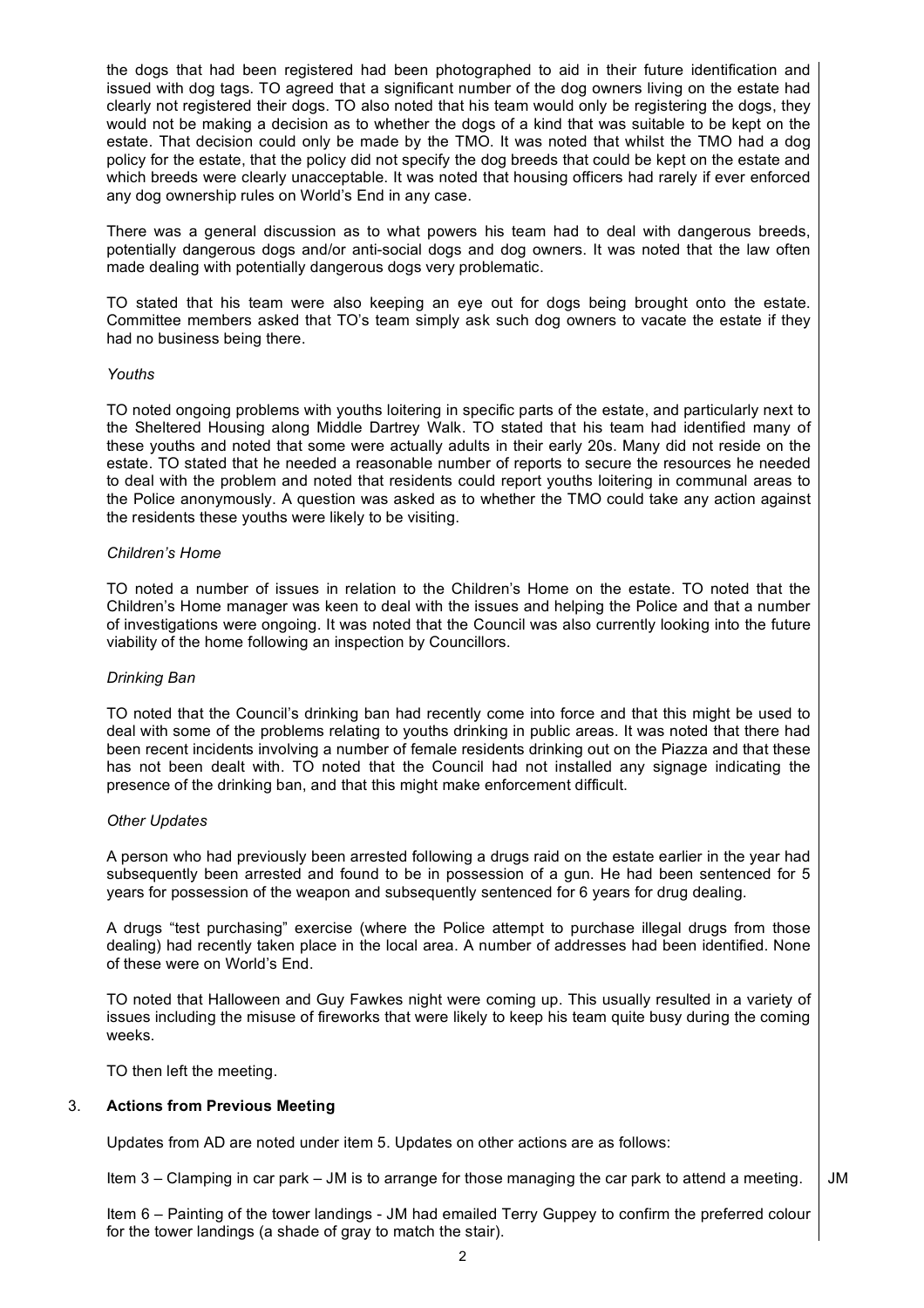the dogs that had been registered had been photographed to aid in their future identification and issued with dog tags. TO agreed that a significant number of the dog owners living on the estate had clearly not registered their dogs. TO also noted that his team would only be registering the dogs, they would not be making a decision as to whether the dogs of a kind that was suitable to be kept on the estate. That decision could only be made by the TMO. It was noted that whilst the TMO had a dog policy for the estate, that the policy did not specify the dog breeds that could be kept on the estate and which breeds were clearly unacceptable. It was noted that housing officers had rarely if ever enforced any dog ownership rules on World's End in any case.

There was a general discussion as to what powers his team had to deal with dangerous breeds, potentially dangerous dogs and/or anti-social dogs and dog owners. It was noted that the law often made dealing with potentially dangerous dogs very problematic.

TO stated that his team were also keeping an eye out for dogs being brought onto the estate. Committee members asked that TO's team simply ask such dog owners to vacate the estate if they had no business being there.

#### *Youths*

TO noted ongoing problems with youths loitering in specific parts of the estate, and particularly next to the Sheltered Housing along Middle Dartrey Walk. TO stated that his team had identified many of these youths and noted that some were actually adults in their early 20s. Many did not reside on the estate. TO stated that he needed a reasonable number of reports to secure the resources he needed to deal with the problem and noted that residents could report youths loitering in communal areas to the Police anonymously. A question was asked as to whether the TMO could take any action against the residents these youths were likely to be visiting.

#### *Children's Home*

TO noted a number of issues in relation to the Children's Home on the estate. TO noted that the Children's Home manager was keen to deal with the issues and helping the Police and that a number of investigations were ongoing. It was noted that the Council was also currently looking into the future viability of the home following an inspection by Councillors.

#### *Drinking Ban*

TO noted that the Council's drinking ban had recently come into force and that this might be used to deal with some of the problems relating to youths drinking in public areas. It was noted that there had been recent incidents involving a number of female residents drinking out on the Piazza and that these has not been dealt with. TO noted that the Council had not installed any signage indicating the presence of the drinking ban, and that this might make enforcement difficult.

#### *Other Updates*

A person who had previously been arrested following a drugs raid on the estate earlier in the year had subsequently been arrested and found to be in possession of a gun. He had been sentenced for 5 years for possession of the weapon and subsequently sentenced for 6 years for drug dealing.

A drugs "test purchasing" exercise (where the Police attempt to purchase illegal drugs from those dealing) had recently taken place in the local area. A number of addresses had been identified. None of these were on World's End.

TO noted that Halloween and Guy Fawkes night were coming up. This usually resulted in a variety of issues including the misuse of fireworks that were likely to keep his team quite busy during the coming weeks.

TO then left the meeting.

#### 3. **Actions from Previous Meeting**

Updates from AD are noted under item 5. Updates on other actions are as follows:

Item 3 – Clamping in car park – JM is to arrange for those managing the car park to attend a meeting. JM

Item 6 – Painting of the tower landings - JM had emailed Terry Guppey to confirm the preferred colour for the tower landings (a shade of gray to match the stair).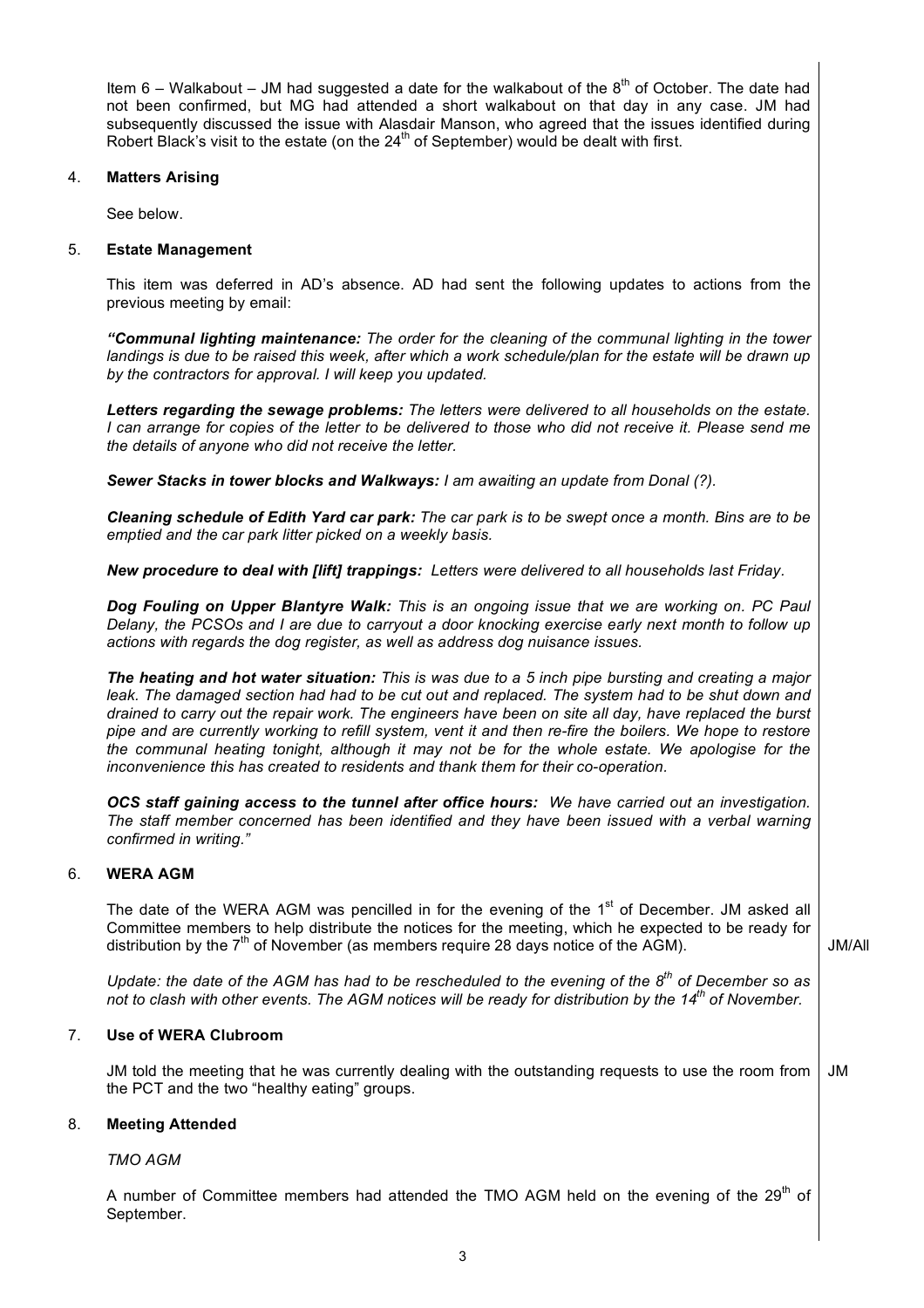Item 6 – Walkabout – JM had suggested a date for the walkabout of the  $8<sup>th</sup>$  of October. The date had not been confirmed, but MG had attended a short walkabout on that day in any case. JM had subsequently discussed the issue with Alasdair Manson, who agreed that the issues identified during Robert Black's visit to the estate (on the  $24<sup>th</sup>$  of September) would be dealt with first.

## 4. **Matters Arising**

See below.

## 5. **Estate Management**

This item was deferred in AD's absence. AD had sent the following updates to actions from the previous meeting by email:

*"Communal lighting maintenance: The order for the cleaning of the communal lighting in the tower*  landings is due to be raised this week, after which a work schedule/plan for the estate will be drawn up *by the contractors for approval. I will keep you updated.*

*Letters regarding the sewage problems: The letters were delivered to all households on the estate. I can arrange for copies of the letter to be delivered to those who did not receive it. Please send me the details of anyone who did not receive the letter.*

*Sewer Stacks in tower blocks and Walkways: I am awaiting an update from Donal (?).*

*Cleaning schedule of Edith Yard car park: The car park is to be swept once a month. Bins are to be emptied and the car park litter picked on a weekly basis.*

*New procedure to deal with [lift] trappings: Letters were delivered to all households last Friday.*

*Dog Fouling on Upper Blantyre Walk: This is an ongoing issue that we are working on. PC Paul Delany, the PCSOs and I are due to carryout a door knocking exercise early next month to follow up actions with regards the dog register, as well as address dog nuisance issues.*

*The heating and hot water situation: This is was due to a 5 inch pipe bursting and creating a major*  leak. The damaged section had had to be cut out and replaced. The system had to be shut down and *drained to carry out the repair work. The engineers have been on site all day, have replaced the burst pipe and are currently working to refill system, vent it and then re-fire the boilers. We hope to restore the communal heating tonight, although it may not be for the whole estate. We apologise for the inconvenience this has created to residents and thank them for their co-operation.*

*OCS staff gaining access to the tunnel after office hours: We have carried out an investigation. The staff member concerned has been identified and they have been issued with a verbal warning confirmed in writing."*

# 6. **WERA AGM**

The date of the WERA AGM was pencilled in for the evening of the 1<sup>st</sup> of December. JM asked all Committee members to help distribute the notices for the meeting, which he expected to be ready for distribution by the  $7<sup>th</sup>$  of November (as members require 28 days notice of the AGM).

JM/All

*Update: the date of the AGM has had to be rescheduled to the evening of the 8th of December so as not to clash with other events. The AGM notices will be ready for distribution by the 14th of November.*

# 7. **Use of WERA Clubroom**

JM told the meeting that he was currently dealing with the outstanding requests to use the room from the PCT and the two "healthy eating" groups. JM

# 8. **Meeting Attended**

*TMO AGM*

A number of Committee members had attended the TMO AGM held on the evening of the  $29<sup>th</sup>$  of September.